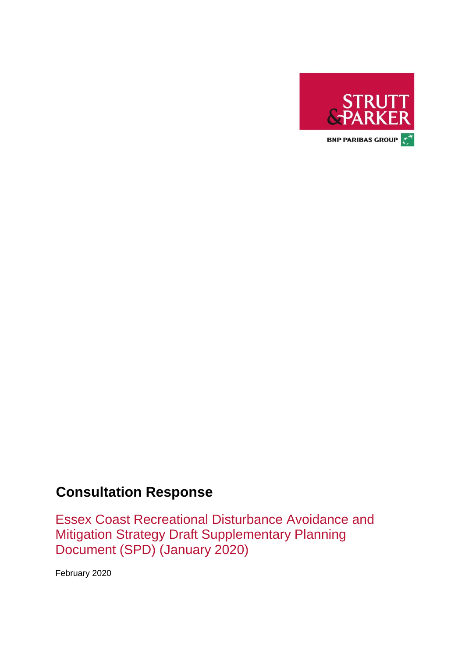

# **Consultation Response**

Essex Coast Recreational Disturbance Avoidance and Mitigation Strategy Draft Supplementary Planning Document (SPD) (January 2020)

February 2020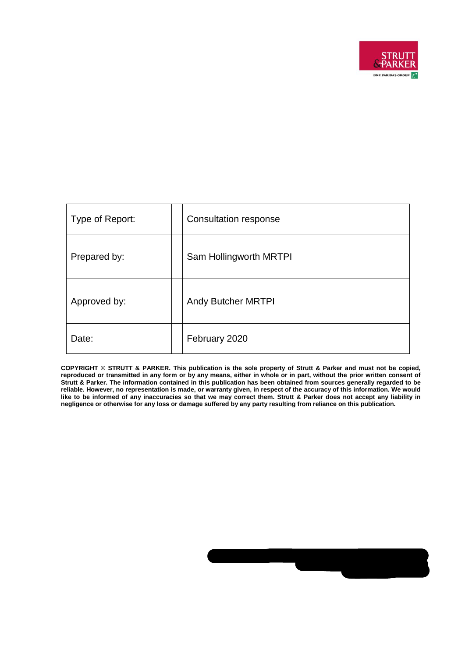

| Type of Report: | Consultation response  |
|-----------------|------------------------|
| Prepared by:    | Sam Hollingworth MRTPI |
| Approved by:    | Andy Butcher MRTPI     |
| Date:           | February 2020          |

**COPYRIGHT © STRUTT & PARKER. This publication is the sole property of Strutt & Parker and must not be copied, reproduced or transmitted in any form or by any means, either in whole or in part, without the prior written consent of Strutt & Parker. The information contained in this publication has been obtained from sources generally regarded to be reliable. However, no representation is made, or warranty given, in respect of the accuracy of this information. We would like to be informed of any inaccuracies so that we may correct them. Strutt & Parker does not accept any liability in negligence or otherwise for any loss or damage suffered by any party resulting from reliance on this publication.**

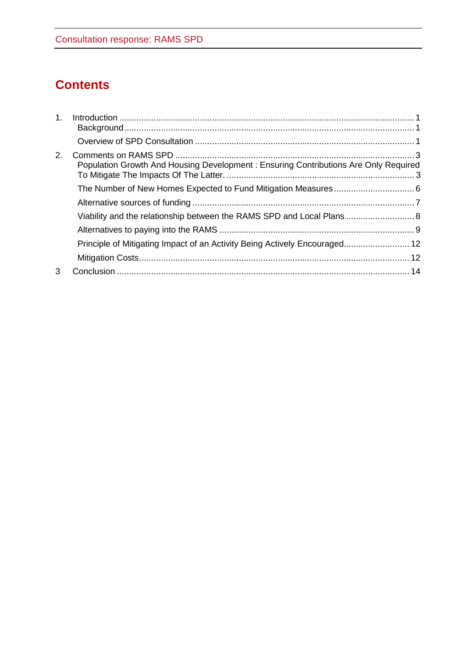# **Contents**

| 1. |                                                                                     |  |
|----|-------------------------------------------------------------------------------------|--|
|    |                                                                                     |  |
| 2. | Population Growth And Housing Development: Ensuring Contributions Are Only Required |  |
|    |                                                                                     |  |
|    |                                                                                     |  |
|    | Viability and the relationship between the RAMS SPD and Local Plans  8              |  |
|    |                                                                                     |  |
|    | Principle of Mitigating Impact of an Activity Being Actively Encouraged 12          |  |
|    |                                                                                     |  |
| 3  |                                                                                     |  |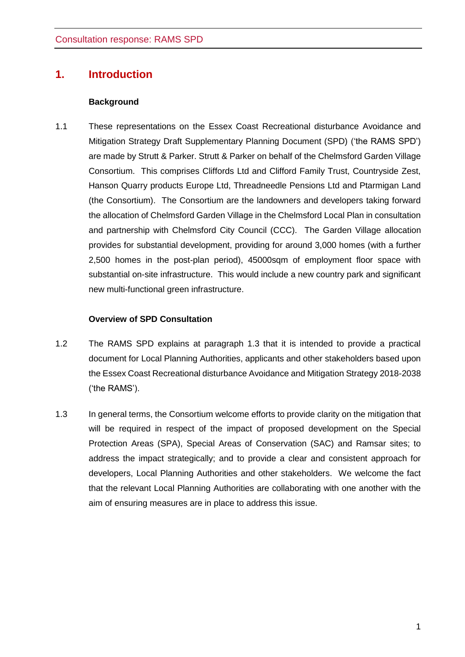# <span id="page-3-0"></span>**1. Introduction**

### **Background**

<span id="page-3-1"></span>1.1 These representations on the Essex Coast Recreational disturbance Avoidance and Mitigation Strategy Draft Supplementary Planning Document (SPD) ('the RAMS SPD') are made by Strutt & Parker. Strutt & Parker on behalf of the Chelmsford Garden Village Consortium. This comprises Cliffords Ltd and Clifford Family Trust, Countryside Zest, Hanson Quarry products Europe Ltd, Threadneedle Pensions Ltd and Ptarmigan Land (the Consortium). The Consortium are the landowners and developers taking forward the allocation of Chelmsford Garden Village in the Chelmsford Local Plan in consultation and partnership with Chelmsford City Council (CCC). The Garden Village allocation provides for substantial development, providing for around 3,000 homes (with a further 2,500 homes in the post-plan period), 45000sqm of employment floor space with substantial on-site infrastructure. This would include a new country park and significant new multi-functional green infrastructure.

### **Overview of SPD Consultation**

- <span id="page-3-2"></span>1.2 The RAMS SPD explains at paragraph 1.3 that it is intended to provide a practical document for Local Planning Authorities, applicants and other stakeholders based upon the Essex Coast Recreational disturbance Avoidance and Mitigation Strategy 2018-2038 ('the RAMS').
- 1.3 In general terms, the Consortium welcome efforts to provide clarity on the mitigation that will be required in respect of the impact of proposed development on the Special Protection Areas (SPA), Special Areas of Conservation (SAC) and Ramsar sites; to address the impact strategically; and to provide a clear and consistent approach for developers, Local Planning Authorities and other stakeholders. We welcome the fact that the relevant Local Planning Authorities are collaborating with one another with the aim of ensuring measures are in place to address this issue.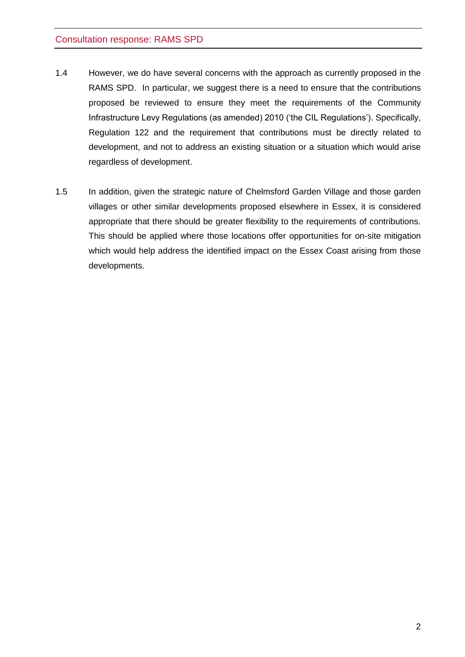- 1.4 However, we do have several concerns with the approach as currently proposed in the RAMS SPD. In particular, we suggest there is a need to ensure that the contributions proposed be reviewed to ensure they meet the requirements of the Community Infrastructure Levy Regulations (as amended) 2010 ('the CIL Regulations'). Specifically, Regulation 122 and the requirement that contributions must be directly related to development, and not to address an existing situation or a situation which would arise regardless of development.
- 1.5 In addition, given the strategic nature of Chelmsford Garden Village and those garden villages or other similar developments proposed elsewhere in Essex, it is considered appropriate that there should be greater flexibility to the requirements of contributions. This should be applied where those locations offer opportunities for on-site mitigation which would help address the identified impact on the Essex Coast arising from those developments.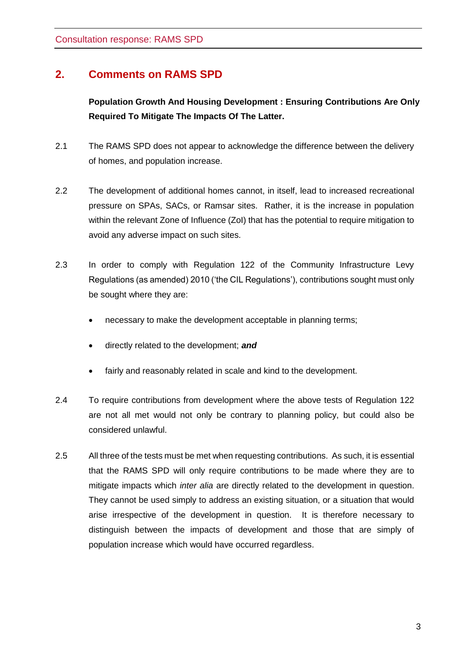## <span id="page-5-1"></span><span id="page-5-0"></span>**2. Comments on RAMS SPD**

**Population Growth And Housing Development : Ensuring Contributions Are Only Required To Mitigate The Impacts Of The Latter.**

- 2.1 The RAMS SPD does not appear to acknowledge the difference between the delivery of homes, and population increase.
- 2.2 The development of additional homes cannot, in itself, lead to increased recreational pressure on SPAs, SACs, or Ramsar sites. Rather, it is the increase in population within the relevant Zone of Influence (ZoI) that has the potential to require mitigation to avoid any adverse impact on such sites.
- 2.3 In order to comply with Regulation 122 of the Community Infrastructure Levy Regulations (as amended) 2010 ('the CIL Regulations'), contributions sought must only be sought where they are:
	- necessary to make the development acceptable in planning terms;
	- directly related to the development; *and*
	- fairly and reasonably related in scale and kind to the development.
- 2.4 To require contributions from development where the above tests of Regulation 122 are not all met would not only be contrary to planning policy, but could also be considered unlawful.
- 2.5 All three of the tests must be met when requesting contributions. As such, it is essential that the RAMS SPD will only require contributions to be made where they are to mitigate impacts which *inter alia* are directly related to the development in question. They cannot be used simply to address an existing situation, or a situation that would arise irrespective of the development in question. It is therefore necessary to distinguish between the impacts of development and those that are simply of population increase which would have occurred regardless.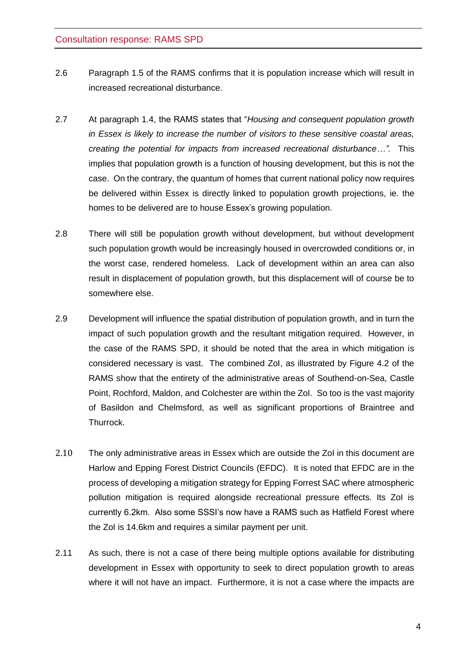- 2.6 Paragraph 1.5 of the RAMS confirms that it is population increase which will result in increased recreational disturbance.
- 2.7 At paragraph 1.4, the RAMS states that "*Housing and consequent population growth in Essex is likely to increase the number of visitors to these sensitive coastal areas, creating the potential for impacts from increased recreational disturbance…".* This implies that population growth is a function of housing development, but this is not the case. On the contrary, the quantum of homes that current national policy now requires be delivered within Essex is directly linked to population growth projections, ie. the homes to be delivered are to house Essex's growing population.
- 2.8 There will still be population growth without development, but without development such population growth would be increasingly housed in overcrowded conditions or, in the worst case, rendered homeless. Lack of development within an area can also result in displacement of population growth, but this displacement will of course be to somewhere else.
- 2.9 Development will influence the spatial distribution of population growth, and in turn the impact of such population growth and the resultant mitigation required. However, in the case of the RAMS SPD, it should be noted that the area in which mitigation is considered necessary is vast. The combined ZoI, as illustrated by Figure 4.2 of the RAMS show that the entirety of the administrative areas of Southend-on-Sea, Castle Point, Rochford, Maldon, and Colchester are within the ZoI. So too is the vast majority of Basildon and Chelmsford, as well as significant proportions of Braintree and Thurrock.
- 2.10 The only administrative areas in Essex which are outside the ZoI in this document are Harlow and Epping Forest District Councils (EFDC). It is noted that EFDC are in the process of developing a mitigation strategy for Epping Forrest SAC where atmospheric pollution mitigation is required alongside recreational pressure effects. Its ZoI is currently 6.2km. Also some SSSI's now have a RAMS such as Hatfield Forest where the ZoI is 14.6km and requires a similar payment per unit.
- 2.11 As such, there is not a case of there being multiple options available for distributing development in Essex with opportunity to seek to direct population growth to areas where it will not have an impact. Furthermore, it is not a case where the impacts are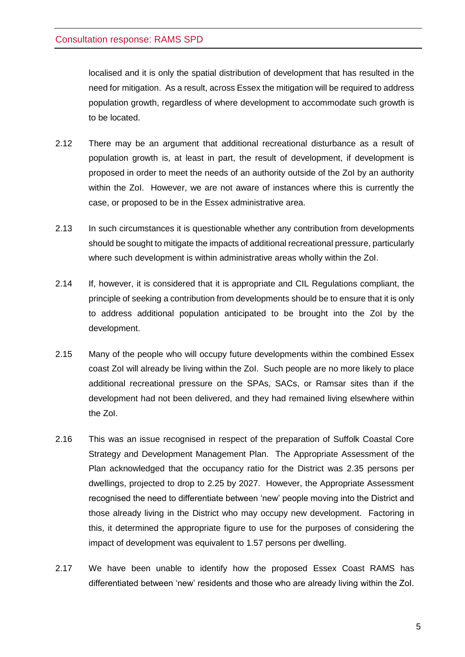localised and it is only the spatial distribution of development that has resulted in the need for mitigation. As a result, across Essex the mitigation will be required to address population growth, regardless of where development to accommodate such growth is to be located.

- 2.12 There may be an argument that additional recreational disturbance as a result of population growth is, at least in part, the result of development, if development is proposed in order to meet the needs of an authority outside of the ZoI by an authority within the ZoI. However, we are not aware of instances where this is currently the case, or proposed to be in the Essex administrative area.
- 2.13 In such circumstances it is questionable whether any contribution from developments should be sought to mitigate the impacts of additional recreational pressure, particularly where such development is within administrative areas wholly within the ZoI.
- 2.14 If, however, it is considered that it is appropriate and CIL Regulations compliant, the principle of seeking a contribution from developments should be to ensure that it is only to address additional population anticipated to be brought into the ZoI by the development.
- 2.15 Many of the people who will occupy future developments within the combined Essex coast ZoI will already be living within the ZoI. Such people are no more likely to place additional recreational pressure on the SPAs, SACs, or Ramsar sites than if the development had not been delivered, and they had remained living elsewhere within the ZoI.
- 2.16 This was an issue recognised in respect of the preparation of Suffolk Coastal Core Strategy and Development Management Plan. The Appropriate Assessment of the Plan acknowledged that the occupancy ratio for the District was 2.35 persons per dwellings, projected to drop to 2.25 by 2027. However, the Appropriate Assessment recognised the need to differentiate between 'new' people moving into the District and those already living in the District who may occupy new development. Factoring in this, it determined the appropriate figure to use for the purposes of considering the impact of development was equivalent to 1.57 persons per dwelling.
- 2.17 We have been unable to identify how the proposed Essex Coast RAMS has differentiated between 'new' residents and those who are already living within the ZoI.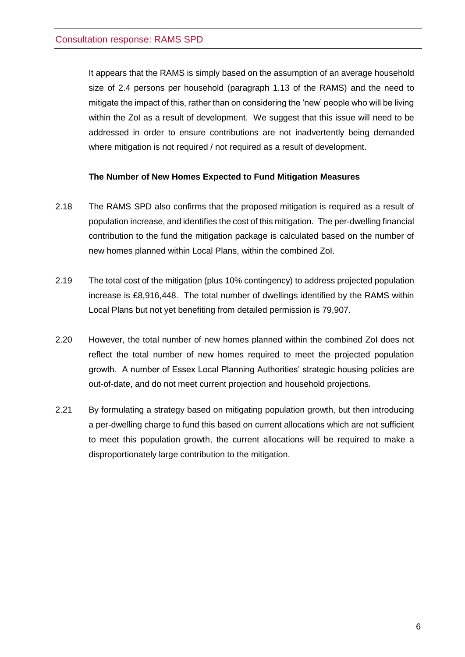It appears that the RAMS is simply based on the assumption of an average household size of 2.4 persons per household (paragraph 1.13 of the RAMS) and the need to mitigate the impact of this, rather than on considering the 'new' people who will be living within the ZoI as a result of development. We suggest that this issue will need to be addressed in order to ensure contributions are not inadvertently being demanded where mitigation is not required / not required as a result of development.

## **The Number of New Homes Expected to Fund Mitigation Measures**

- <span id="page-8-0"></span>2.18 The RAMS SPD also confirms that the proposed mitigation is required as a result of population increase, and identifies the cost of this mitigation. The per-dwelling financial contribution to the fund the mitigation package is calculated based on the number of new homes planned within Local Plans, within the combined ZoI.
- 2.19 The total cost of the mitigation (plus 10% contingency) to address projected population increase is £8,916,448. The total number of dwellings identified by the RAMS within Local Plans but not yet benefiting from detailed permission is 79,907.
- 2.20 However, the total number of new homes planned within the combined ZoI does not reflect the total number of new homes required to meet the projected population growth. A number of Essex Local Planning Authorities' strategic housing policies are out-of-date, and do not meet current projection and household projections.
- 2.21 By formulating a strategy based on mitigating population growth, but then introducing a per-dwelling charge to fund this based on current allocations which are not sufficient to meet this population growth, the current allocations will be required to make a disproportionately large contribution to the mitigation.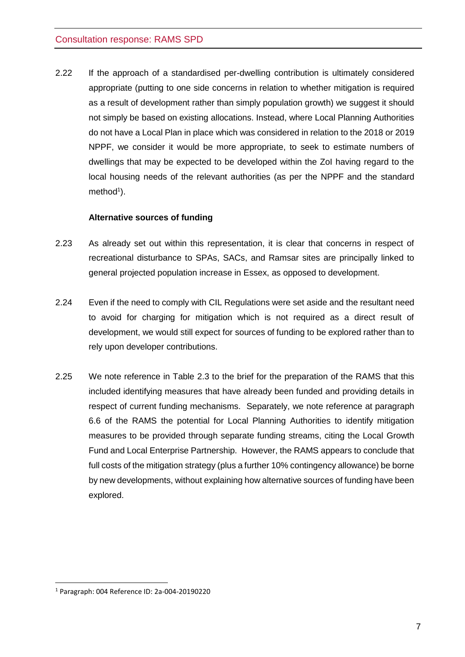2.22 If the approach of a standardised per-dwelling contribution is ultimately considered appropriate (putting to one side concerns in relation to whether mitigation is required as a result of development rather than simply population growth) we suggest it should not simply be based on existing allocations. Instead, where Local Planning Authorities do not have a Local Plan in place which was considered in relation to the 2018 or 2019 NPPF, we consider it would be more appropriate, to seek to estimate numbers of dwellings that may be expected to be developed within the ZoI having regard to the local housing needs of the relevant authorities (as per the NPPF and the standard method<sup>1</sup>).

### **Alternative sources of funding**

- <span id="page-9-0"></span>2.23 As already set out within this representation, it is clear that concerns in respect of recreational disturbance to SPAs, SACs, and Ramsar sites are principally linked to general projected population increase in Essex, as opposed to development.
- 2.24 Even if the need to comply with CIL Regulations were set aside and the resultant need to avoid for charging for mitigation which is not required as a direct result of development, we would still expect for sources of funding to be explored rather than to rely upon developer contributions.
- 2.25 We note reference in Table 2.3 to the brief for the preparation of the RAMS that this included identifying measures that have already been funded and providing details in respect of current funding mechanisms. Separately, we note reference at paragraph 6.6 of the RAMS the potential for Local Planning Authorities to identify mitigation measures to be provided through separate funding streams, citing the Local Growth Fund and Local Enterprise Partnership. However, the RAMS appears to conclude that full costs of the mitigation strategy (plus a further 10% contingency allowance) be borne by new developments, without explaining how alternative sources of funding have been explored.

<sup>1</sup> Paragraph: 004 Reference ID: 2a-004-20190220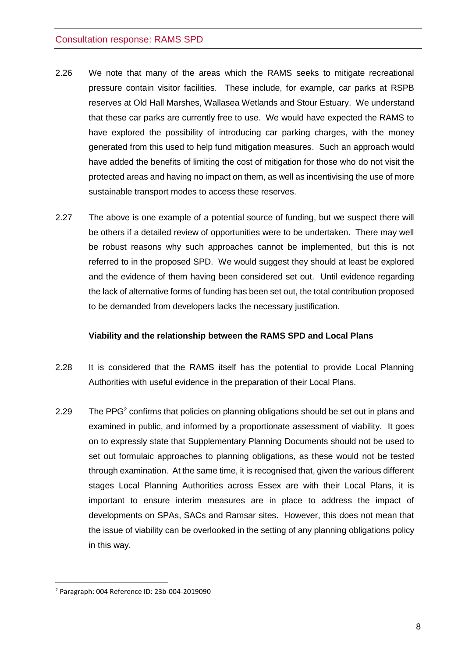- 2.26 We note that many of the areas which the RAMS seeks to mitigate recreational pressure contain visitor facilities. These include, for example, car parks at RSPB reserves at Old Hall Marshes, Wallasea Wetlands and Stour Estuary. We understand that these car parks are currently free to use. We would have expected the RAMS to have explored the possibility of introducing car parking charges, with the money generated from this used to help fund mitigation measures. Such an approach would have added the benefits of limiting the cost of mitigation for those who do not visit the protected areas and having no impact on them, as well as incentivising the use of more sustainable transport modes to access these reserves.
- 2.27 The above is one example of a potential source of funding, but we suspect there will be others if a detailed review of opportunities were to be undertaken. There may well be robust reasons why such approaches cannot be implemented, but this is not referred to in the proposed SPD. We would suggest they should at least be explored and the evidence of them having been considered set out. Until evidence regarding the lack of alternative forms of funding has been set out, the total contribution proposed to be demanded from developers lacks the necessary justification.

#### **Viability and the relationship between the RAMS SPD and Local Plans**

- <span id="page-10-0"></span>2.28 It is considered that the RAMS itself has the potential to provide Local Planning Authorities with useful evidence in the preparation of their Local Plans.
- 2.29 The PPG<sup>2</sup> confirms that policies on planning obligations should be set out in plans and examined in public, and informed by a proportionate assessment of viability. It goes on to expressly state that Supplementary Planning Documents should not be used to set out formulaic approaches to planning obligations, as these would not be tested through examination. At the same time, it is recognised that, given the various different stages Local Planning Authorities across Essex are with their Local Plans, it is important to ensure interim measures are in place to address the impact of developments on SPAs, SACs and Ramsar sites. However, this does not mean that the issue of viability can be overlooked in the setting of any planning obligations policy in this way.

<sup>2</sup> Paragraph: 004 Reference ID: 23b-004-2019090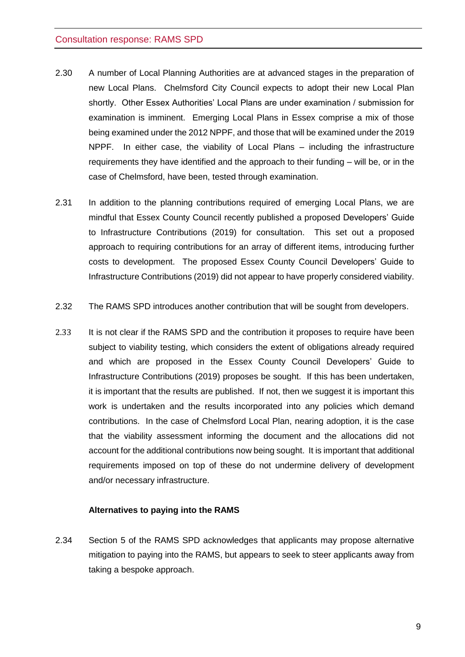- 2.30 A number of Local Planning Authorities are at advanced stages in the preparation of new Local Plans. Chelmsford City Council expects to adopt their new Local Plan shortly. Other Essex Authorities' Local Plans are under examination / submission for examination is imminent. Emerging Local Plans in Essex comprise a mix of those being examined under the 2012 NPPF, and those that will be examined under the 2019 NPPF. In either case, the viability of Local Plans – including the infrastructure requirements they have identified and the approach to their funding – will be, or in the case of Chelmsford, have been, tested through examination.
- 2.31 In addition to the planning contributions required of emerging Local Plans, we are mindful that Essex County Council recently published a proposed Developers' Guide to Infrastructure Contributions (2019) for consultation. This set out a proposed approach to requiring contributions for an array of different items, introducing further costs to development. The proposed Essex County Council Developers' Guide to Infrastructure Contributions (2019) did not appear to have properly considered viability.
- 2.32 The RAMS SPD introduces another contribution that will be sought from developers.
- 2.33 It is not clear if the RAMS SPD and the contribution it proposes to require have been subject to viability testing, which considers the extent of obligations already required and which are proposed in the Essex County Council Developers' Guide to Infrastructure Contributions (2019) proposes be sought. If this has been undertaken, it is important that the results are published. If not, then we suggest it is important this work is undertaken and the results incorporated into any policies which demand contributions. In the case of Chelmsford Local Plan, nearing adoption, it is the case that the viability assessment informing the document and the allocations did not account for the additional contributions now being sought. It is important that additional requirements imposed on top of these do not undermine delivery of development and/or necessary infrastructure.

#### **Alternatives to paying into the RAMS**

<span id="page-11-0"></span>2.34 Section 5 of the RAMS SPD acknowledges that applicants may propose alternative mitigation to paying into the RAMS, but appears to seek to steer applicants away from taking a bespoke approach.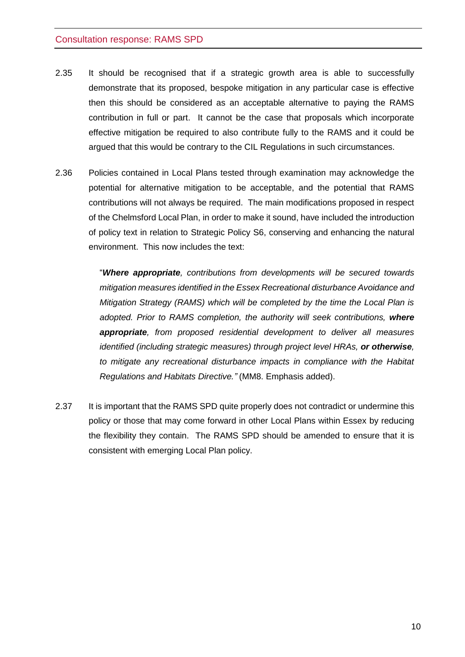- 2.35 It should be recognised that if a strategic growth area is able to successfully demonstrate that its proposed, bespoke mitigation in any particular case is effective then this should be considered as an acceptable alternative to paying the RAMS contribution in full or part. It cannot be the case that proposals which incorporate effective mitigation be required to also contribute fully to the RAMS and it could be argued that this would be contrary to the CIL Regulations in such circumstances.
- 2.36 Policies contained in Local Plans tested through examination may acknowledge the potential for alternative mitigation to be acceptable, and the potential that RAMS contributions will not always be required. The main modifications proposed in respect of the Chelmsford Local Plan, in order to make it sound, have included the introduction of policy text in relation to Strategic Policy S6, conserving and enhancing the natural environment. This now includes the text:

"*Where appropriate, contributions from developments will be secured towards mitigation measures identified in the Essex Recreational disturbance Avoidance and Mitigation Strategy (RAMS) which will be completed by the time the Local Plan is adopted. Prior to RAMS completion, the authority will seek contributions, where appropriate, from proposed residential development to deliver all measures identified (including strategic measures) through project level HRAs, or otherwise, to mitigate any recreational disturbance impacts in compliance with the Habitat Regulations and Habitats Directive."* (MM8. Emphasis added).

2.37 It is important that the RAMS SPD quite properly does not contradict or undermine this policy or those that may come forward in other Local Plans within Essex by reducing the flexibility they contain. The RAMS SPD should be amended to ensure that it is consistent with emerging Local Plan policy.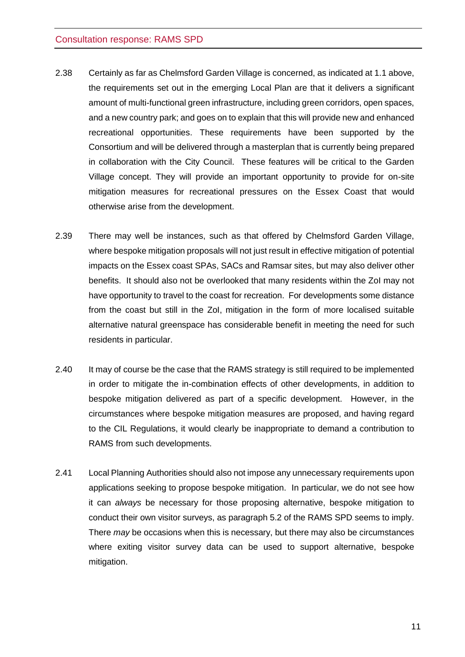- 2.38 Certainly as far as Chelmsford Garden Village is concerned, as indicated at 1.1 above, the requirements set out in the emerging Local Plan are that it delivers a significant amount of multi-functional green infrastructure, including green corridors, open spaces, and a new country park; and goes on to explain that this will provide new and enhanced recreational opportunities. These requirements have been supported by the Consortium and will be delivered through a masterplan that is currently being prepared in collaboration with the City Council. These features will be critical to the Garden Village concept. They will provide an important opportunity to provide for on-site mitigation measures for recreational pressures on the Essex Coast that would otherwise arise from the development.
- 2.39 There may well be instances, such as that offered by Chelmsford Garden Village, where bespoke mitigation proposals will not just result in effective mitigation of potential impacts on the Essex coast SPAs, SACs and Ramsar sites, but may also deliver other benefits. It should also not be overlooked that many residents within the ZoI may not have opportunity to travel to the coast for recreation. For developments some distance from the coast but still in the ZoI, mitigation in the form of more localised suitable alternative natural greenspace has considerable benefit in meeting the need for such residents in particular.
- 2.40 It may of course be the case that the RAMS strategy is still required to be implemented in order to mitigate the in-combination effects of other developments, in addition to bespoke mitigation delivered as part of a specific development. However, in the circumstances where bespoke mitigation measures are proposed, and having regard to the CIL Regulations, it would clearly be inappropriate to demand a contribution to RAMS from such developments.
- 2.41 Local Planning Authorities should also not impose any unnecessary requirements upon applications seeking to propose bespoke mitigation. In particular, we do not see how it can *always* be necessary for those proposing alternative, bespoke mitigation to conduct their own visitor surveys, as paragraph 5.2 of the RAMS SPD seems to imply. There *may* be occasions when this is necessary, but there may also be circumstances where exiting visitor survey data can be used to support alternative, bespoke mitigation.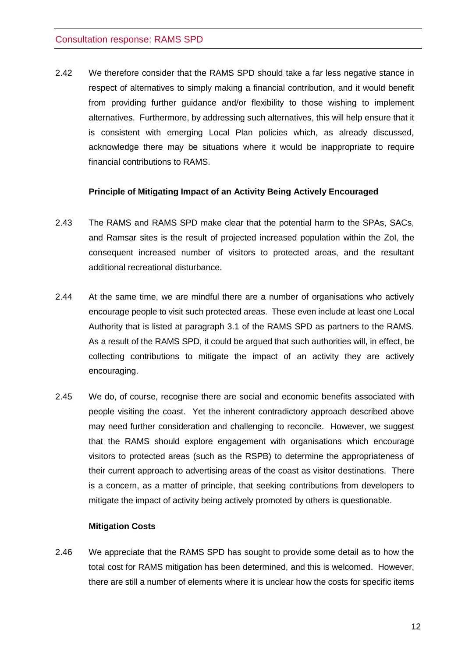2.42 We therefore consider that the RAMS SPD should take a far less negative stance in respect of alternatives to simply making a financial contribution, and it would benefit from providing further guidance and/or flexibility to those wishing to implement alternatives. Furthermore, by addressing such alternatives, this will help ensure that it is consistent with emerging Local Plan policies which, as already discussed, acknowledge there may be situations where it would be inappropriate to require financial contributions to RAMS.

#### **Principle of Mitigating Impact of an Activity Being Actively Encouraged**

- <span id="page-14-0"></span>2.43 The RAMS and RAMS SPD make clear that the potential harm to the SPAs, SACs, and Ramsar sites is the result of projected increased population within the ZoI, the consequent increased number of visitors to protected areas, and the resultant additional recreational disturbance.
- 2.44 At the same time, we are mindful there are a number of organisations who actively encourage people to visit such protected areas. These even include at least one Local Authority that is listed at paragraph 3.1 of the RAMS SPD as partners to the RAMS. As a result of the RAMS SPD, it could be argued that such authorities will, in effect, be collecting contributions to mitigate the impact of an activity they are actively encouraging.
- 2.45 We do, of course, recognise there are social and economic benefits associated with people visiting the coast. Yet the inherent contradictory approach described above may need further consideration and challenging to reconcile. However, we suggest that the RAMS should explore engagement with organisations which encourage visitors to protected areas (such as the RSPB) to determine the appropriateness of their current approach to advertising areas of the coast as visitor destinations. There is a concern, as a matter of principle, that seeking contributions from developers to mitigate the impact of activity being actively promoted by others is questionable.

#### **Mitigation Costs**

<span id="page-14-1"></span>2.46 We appreciate that the RAMS SPD has sought to provide some detail as to how the total cost for RAMS mitigation has been determined, and this is welcomed. However, there are still a number of elements where it is unclear how the costs for specific items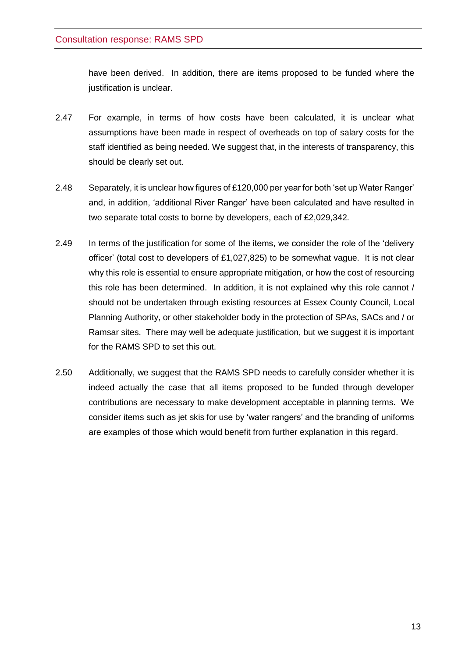have been derived. In addition, there are items proposed to be funded where the justification is unclear.

- 2.47 For example, in terms of how costs have been calculated, it is unclear what assumptions have been made in respect of overheads on top of salary costs for the staff identified as being needed. We suggest that, in the interests of transparency, this should be clearly set out.
- 2.48 Separately, it is unclear how figures of £120,000 per year for both 'set up Water Ranger' and, in addition, 'additional River Ranger' have been calculated and have resulted in two separate total costs to borne by developers, each of £2,029,342.
- 2.49 In terms of the justification for some of the items, we consider the role of the 'delivery officer' (total cost to developers of £1,027,825) to be somewhat vague. It is not clear why this role is essential to ensure appropriate mitigation, or how the cost of resourcing this role has been determined. In addition, it is not explained why this role cannot / should not be undertaken through existing resources at Essex County Council, Local Planning Authority, or other stakeholder body in the protection of SPAs, SACs and / or Ramsar sites. There may well be adequate justification, but we suggest it is important for the RAMS SPD to set this out.
- 2.50 Additionally, we suggest that the RAMS SPD needs to carefully consider whether it is indeed actually the case that all items proposed to be funded through developer contributions are necessary to make development acceptable in planning terms. We consider items such as jet skis for use by 'water rangers' and the branding of uniforms are examples of those which would benefit from further explanation in this regard.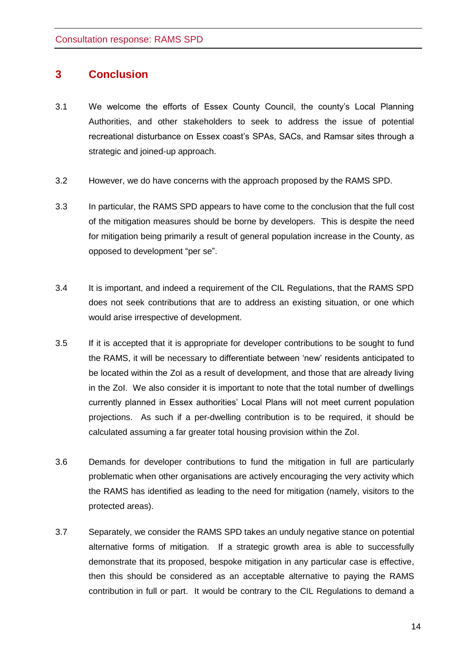## <span id="page-16-0"></span>**3 Conclusion**

- 3.1 We welcome the efforts of Essex County Council, the county's Local Planning Authorities, and other stakeholders to seek to address the issue of potential recreational disturbance on Essex coast's SPAs, SACs, and Ramsar sites through a strategic and joined-up approach.
- 3.2 However, we do have concerns with the approach proposed by the RAMS SPD.
- 3.3 In particular, the RAMS SPD appears to have come to the conclusion that the full cost of the mitigation measures should be borne by developers. This is despite the need for mitigation being primarily a result of general population increase in the County, as opposed to development "per se".
- 3.4 It is important, and indeed a requirement of the CIL Regulations, that the RAMS SPD does not seek contributions that are to address an existing situation, or one which would arise irrespective of development.
- 3.5 If it is accepted that it is appropriate for developer contributions to be sought to fund the RAMS, it will be necessary to differentiate between 'new' residents anticipated to be located within the ZoI as a result of development, and those that are already living in the ZoI. We also consider it is important to note that the total number of dwellings currently planned in Essex authorities' Local Plans will not meet current population projections. As such if a per-dwelling contribution is to be required, it should be calculated assuming a far greater total housing provision within the ZoI.
- 3.6 Demands for developer contributions to fund the mitigation in full are particularly problematic when other organisations are actively encouraging the very activity which the RAMS has identified as leading to the need for mitigation (namely, visitors to the protected areas).
- 3.7 Separately, we consider the RAMS SPD takes an unduly negative stance on potential alternative forms of mitigation. If a strategic growth area is able to successfully demonstrate that its proposed, bespoke mitigation in any particular case is effective, then this should be considered as an acceptable alternative to paying the RAMS contribution in full or part. It would be contrary to the CIL Regulations to demand a